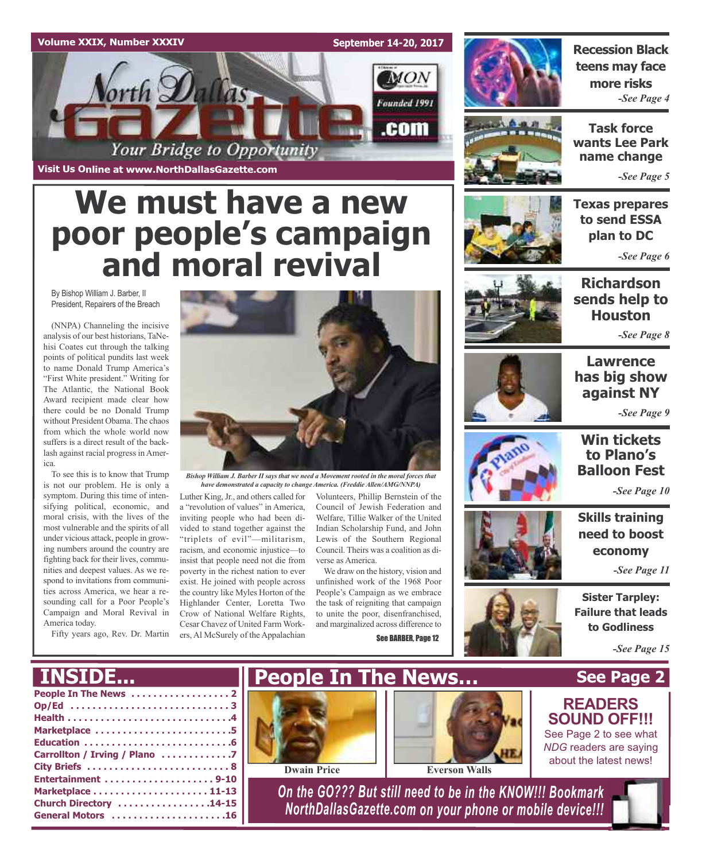## **Volume XXIX, Number XXXIV September 14-20, 2017**  $_{MON}$ orth Dallas Founded 1991 .com Your Bridge to Opportunity

**Visit Us Online at www.NorthDallasGazette.com**

# **We must have a new poor people's campaign and moral revival**

By Bishop William J. Barber, II President, Repairers of the Breach

(NNPA) Channeling the incisive analysis of our best historians, TaNehisi Coates cut through the talking points of political pundits last week to name Donald Trump America's "First White president." Writing for The Atlantic, the National Book Award recipient made clear how there could be no Donald Trump without President Obama. The chaos from which the whole world now suffers is a direct result of the backlash against racial progress in America.

To see this is to know that Trump is not our problem. He is only a symptom. During this time of intensifying political, economic, and moral crisis, with the lives of the most vulnerable and the spirits of all under vicious attack, people in growing numbers around the country are fighting back for their lives, communities and deepest values. As we respond to invitations from communities across America, we hear a resounding call for a Poor People's Campaign and Moral Revival in America today.



*Bishop William J. Barber II says that we need a Movement rooted in the moral forces that have demonstrated a capacity to change America. (Freddie Allen/AMG/NNPA)*

Fifty years ago, Rev. Dr. Martin ers, Al McSurely of the Appalachian a "revolution of values" in America, inviting people who had been divided to stand together against the "triplets of evil"—militarism, racism, and economic injustice—to insist that people need not die from poverty in the richest nation to ever exist. He joined with people across the country like Myles Horton of the Highlander Center, Loretta Two Crow of National Welfare Rights, Cesar Chavez of United Farm Work-

Luther King, Jr., and others called for Volunteers, Phillip Bernstein of the Council of Jewish Federation and Welfare, Tillie Walker of the United Indian Scholarship Fund, and John Lewis of the Southern Regional Council. Theirs was a coalition as diverse as America.

We draw on the history, vision and unfinished work of the 1968 Poor People's Campaign as we embrace the task of reigniting that campaign to unite the poor, disenfranchised, and marginalized across difference to See BARBER, Page 12

**Recession Black teens may face more risks** *-See Page 4*



**Task force wants Lee Park name change**

*-See Page 5*

**Texas prepares to send ESSA plan to DC**

*-See Page 6*



**Richardson sends help to Houston**

*-See Page 8*



## **Lawrence has big show against NY**

*-See Page 9*



## **Win tickets to Plano's Balloon Fest**

*-See Page 10*

**Skills training need to boost economy**

*-See Page 11*

**Sister Tarpley: Failure that leads to Godliness**

*-See Page 15*

## **INSIDE...**

| Op/Ed 3                       |
|-------------------------------|
|                               |
| Marketplace 5                 |
|                               |
| Carrollton / Irving / Plano 7 |
|                               |
|                               |
|                               |
| Church Directory 14-15        |
| General Motors 16             |
|                               |





**Dwain Price Everson Walls**

*On the GO??? But still need to be in the KNOW!!! Bookmark NorthDallasGazette.com on your phone or mobile device!!!*



## **READERS SOUND OFF!!!**

See Page 2 to see what *NDG* readers are saying about the latest news!

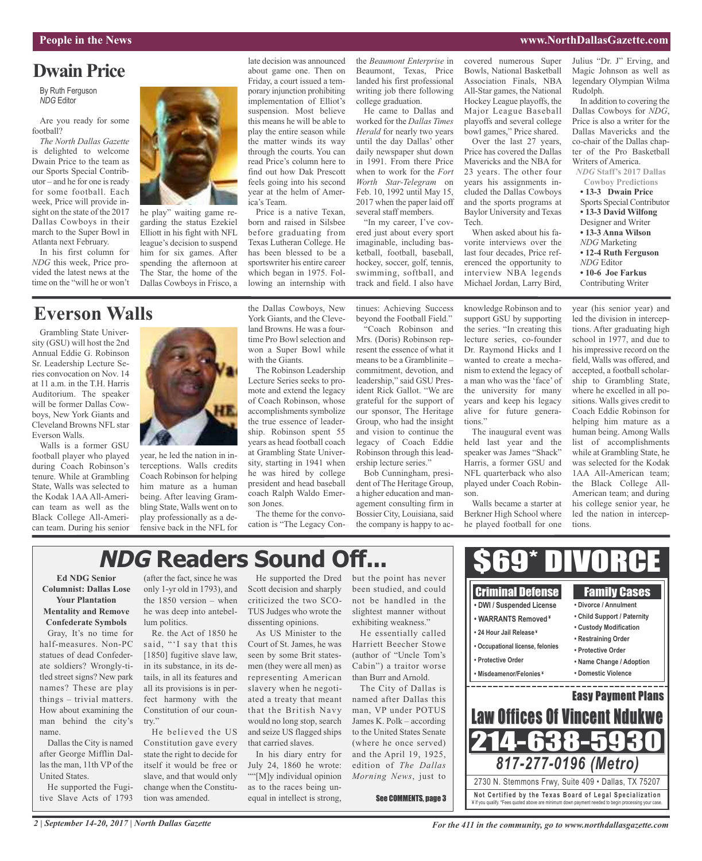#### **People in the News www.NorthDallasGazette.com**

## **Dwain Price**

By Ruth Ferguson *NDG* Editor

Are you ready for some football?

*The North Dallas Gazette* is delighted to welcome Dwain Price to the team as our Sports Special Contributor – and he for one is ready for some football. Each week, Price will provide insight on the state of the 2017 Dallas Cowboys in their march to the Super Bowl in Atlanta next February.

In his first column for *NDG* this week, Price provided the latest news at the time on the "will he or won't



he play" waiting game regarding the status Ezekiel Elliott in his fight with NFL league's decision to suspend him for six games. After spending the afternoon at The Star, the home of the Dallas Cowboys in Frisco, a

## **Everson Walls**

Grambling State University (GSU) will host the 2nd Annual Eddie G. Robinson Sr. Leadership Lecture Series convocation on Nov. 14 at 11 a.m. in the T.H. Harris Auditorium. The speaker will be former Dallas Cowboys, New York Giants and Cleveland Browns NFL star Everson Walls.

Walls is a former GSU football player who played during Coach Robinson's tenure. While at Grambling State, Walls was selected to the Kodak 1AA All-American team as well as the Black College All-American team. During his senior



year, he led the nation in interceptions. Walls credits Coach Robinson for helping him mature as a human being. After leaving Grambling State, Walls went on to play professionally as a defensive back in the NFL for

the Dallas Cowboys, New York Giants, and the Cleveland Browns. He was a fourtime Pro Bowl selection and won a Super Bowl while with the Giants.

Price is a native Texan, born and raised in Silsbee before graduating from Texas Lutheran College. He has been blessed to be a sportswriter his entire career which began in 1975. Following an internship with

late decision was announced about game one. Then on Friday, a court issued a temporary injunction prohibiting implementation of Elliot's suspension. Most believe this means he will be able to play the entire season while the matter winds its way through the courts. You can read Price's column here to find out how Dak Prescott feels going into his second year at the helm of Amer-

ica's Team.

The Robinson Leadership Lecture Series seeks to promote and extend the legacy of Coach Robinson, whose accomplishments symbolize the true essence of leadership. Robinson spent 55 years as head football coach at Grambling State University, starting in 1941 when he was hired by college president and head baseball coach Ralph Waldo Emerson Jones.

The theme for the convocation is "The Legacy Conthe *Beaumont Enterprise* in Beaumont, Texas, Price landed his first professional writing job there following college graduation.

He came to Dallas and worked for the *Dallas Times Herald* for nearly two years until the day Dallas' other daily newspaper shut down in 1991. From there Price when to work for the *Fort Worth Star-Telegram* on Feb. 10, 1992 until May 15, 2017 when the paper laid off several staff members.

"In my career, I've covered just about every sport imaginable, including basketball, football, baseball, hockey, soccer, golf, tennis, swimming, softball, and track and field. I also have

Tech.

covered numerous Super Bowls, National Basketball Association Finals, NBA All-Star games, the National Hockey League playoffs, the Major League Baseball playoffs and several college bowl games," Price shared. Over the last 27 years, Price has covered the Dallas Mavericks and the NBA for 23 years. The other four years his assignments included the Dallas Cowboys and the sports programs at Baylor University and Texas

When asked about his favorite interviews over the last four decades, Price referenced the opportunity to interview NBA legends Michael Jordan, Larry Bird,

Julius "Dr. J" Erving, and Magic Johnson as well as legendary Olympian Wilma Rudolph.

In addition to covering the Dallas Cowboys for *NDG*, Price is also a writer for the Dallas Mavericks and the co-chair of the Dallas chapter of the Pro Basketball Writers of America.

*NDG* **Staff's 2017 Dallas Cowboy Predictions**

**• 13-3 Dwain Price** Sports Special Contributor **• 13-3 David Wilfong** Designer and Writer **• 13-3 Anna Wilson** *NDG* Marketing **• 12-4 Ruth Ferguson** *NDG* Editor **• 10-6 Joe Farkus** Contributing Writer

year (his senior year) and

tinues: Achieving Success beyond the Football Field."

"Coach Robinson and Mrs. (Doris) Robinson represent the essence of what it means to be a Gramblinite – commitment, devotion, and leadership," said GSU President Rick Gallot. "We are grateful for the support of our sponsor, The Heritage Group, who had the insight and vision to continue the legacy of Coach Eddie Robinson through this leadership lecture series." Bob Cunningham, presi-

dent of The Heritage Group, a higher education and management consulting firm in Bossier City, Louisiana, said the company is happy to acknowledge Robinson and to support GSU by supporting the series. "In creating this lecture series, co-founder Dr. Raymond Hicks and I wanted to create a mechanism to extend the legacy of a man who was the 'face' of the university for many years and keep his legacy alive for future generations."

The inaugural event was held last year and the speaker was James "Shack" Harris, a former GSU and NFL quarterback who also played under Coach Robinson.

Walls became a starter at Berkner High School where he played football for one

led the division in interceptions. After graduating high school in 1977, and due to his impressive record on the field, Walls was offered, and accepted, a football scholarship to Grambling State, where he excelled in all positions. Walls gives credit to Coach Eddie Robinson for helping him mature as a human being. Among Walls list of accomplishments while at Grambling State, he was selected for the Kodak 1AA All-American team; the Black College All-American team; and during his college senior year, he led the nation in intercep-

## **NDG Readers Sound Off...**

## **Ed NDG Senior Columnist: Dallas Lose Your Plantation Mentality and Remove Confederate Symbols**

Gray, It's no time for half-measures. Non-PC statues of dead Confederate soldiers? Wrongly-titled street signs? New park names? These are play things – trivial matters. How about examining the man behind the city's name.

Dallas the City is named after George Mifflin Dallas the man, 11th VP of the United States.

He supported the Fugitive Slave Acts of 1793

(after the fact, since he was only 1-yr old in 1793), and the 1850 version – when he was deep into antebellum politics.

Re. the Act of 1850 he said, "'I say that this [1850] fugitive slave law, in its substance, in its details, in all its features and all its provisions is in perfect harmony with the Constitution of our country."

He believed the US Constitution gave every state the right to decide for itself it would be free or slave, and that would only change when the Constitution was amended.

He supported the Dred Scott decision and sharply criticized the two SCO-TUS Judges who wrote the dissenting opinions.

As US Minister to the Court of St. James, he was seen by some Brit statesmen (they were all men) as representing American slavery when he negotiated a treaty that meant that the British Navy would no long stop, search and seize US flagged ships that carried slaves.

In his diary entry for July 24, 1860 he wrote: ""[M]y individual opinion as to the races being unequal in intellect is strong,

but the point has never been studied, and could not be handled in the slightest manner without exhibiting weakness."

He essentially called Harriett Beecher Stowe (author of "Uncle Tom's Cabin") a traitor worse than Burr and Arnold.

The City of Dallas is named after Dallas this man, VP under POTUS James K. Polk – according to the United States Senate (where he once served) and the April 19, 1925, edition of *The Dallas Morning News*, just to

See COMMENTS, page 3



**Not Ce rtified by the Te x a s Boa rd of Lega l Spe c ia l i za tion** ¥ If you qualify. \*Fees quoted above are minimum down payment needed to begin processing your case.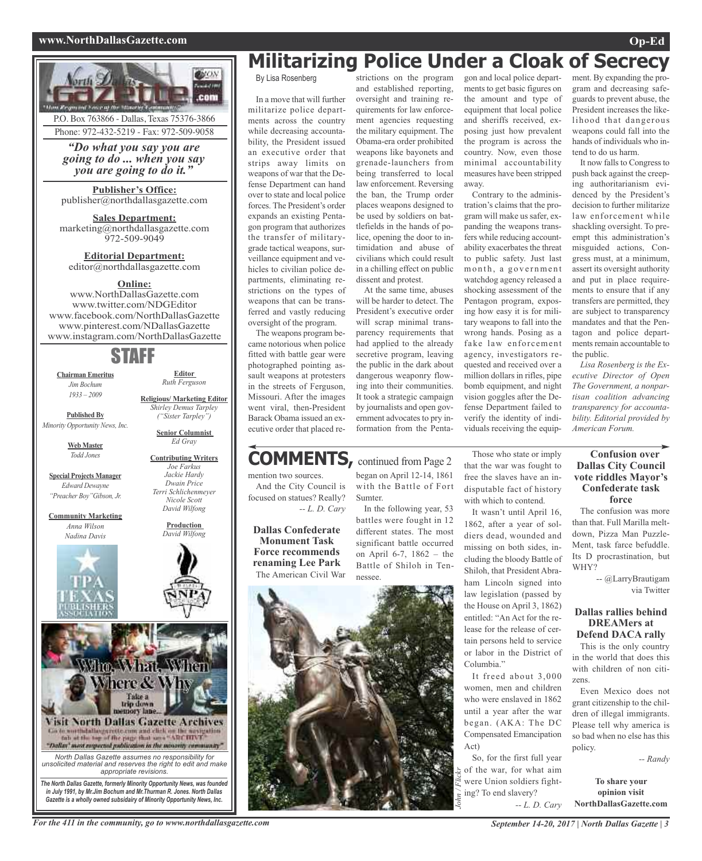#### **www.NorthDallasGazette.com Op-Ed**



## strictions on the program **Militarizing Police Under a Cloak of Secrecy**

and established reporting, oversight and training requirements for law enforcement agencies requesting the military equipment. The Obama-era order prohibited weapons like bayonets and grenade-launchers from being transferred to local law enforcement. Reversing the ban, the Trump order places weapons designed to be used by soldiers on battlefields in the hands of police, opening the door to intimidation and abuse of civilians which could result in a chilling effect on public

dissent and protest.

At the same time, abuses will be harder to detect. The President's executive order will scrap minimal transparency requirements that had applied to the already secretive program, leaving the public in the dark about dangerous weaponry flowing into their communities. It took a strategic campaign by journalists and open government advocates to pry information from the Penta-

By Lisa Rosenberg

In a move that will further militarize police departments across the country while decreasing accountability, the President issued an executive order that strips away limits on weapons of war that the Defense Department can hand over to state and local police forces. The President's order expands an existing Pentagon program that authorizes the transfer of militarygrade tactical weapons, surveillance equipment and vehicles to civilian police departments, eliminating restrictions on the types of weapons that can be transferred and vastly reducing oversight of the program.

The weapons program became notorious when police fitted with battle gear were photographed pointing assault weapons at protesters in the streets of Ferguson, Missouri. After the images went viral, then-President Barack Obama issued an executive order that placed re-

#### mention two sources. And the City Council is focused on statues? Really? Sumter. **COMMENTS,** continued from Page <sup>2</sup>

*-- L. D. Cary* **Dallas Confederate**

**Monument Task Force recommends renaming Lee Park** The American Civil War began on April 12-14, 1861 with the Battle of Fort In the following year, 53

battles were fought in 12 different states. The most significant battle occurred on April 6-7, 1862 – the Battle of Shiloh in Tennessee.



gon and local police departments to get basic figures on the amount and type of equipment that local police and sheriffs received, exposing just how prevalent the program is across the country. Now, even those minimal accountability measures have been stripped away.

Contrary to the administration's claims that the program will make us safer, expanding the weapons transfers while reducing accountability exacerbates the threat to public safety. Just last month, a government watchdog agency released a shocking assessment of the Pentagon program, exposing how easy it is for military weapons to fall into the wrong hands. Posing as a fake law enforcement agency, investigators requested and received over a million dollars in rifles, pipe bomb equipment, and night vision goggles after the Defense Department failed to verify the identity of individuals receiving the equipment. By expanding the program and decreasing safeguards to prevent abuse, the President increases the likelihood that dangerous weapons could fall into the hands of individuals who intend to do us harm.

It now falls to Congress to push back against the creeping authoritarianism evidenced by the President's decision to further militarize law enforcement while shackling oversight. To preempt this administration's misguided actions, Congress must, at a minimum, assert its oversight authority and put in place requirements to ensure that if any transfers are permitted, they are subject to transparency mandates and that the Pentagon and police departments remain accountable to the public.

*Lisa Rosenberg is the Executive Director of Open The Government, a nonpartisan coalition advancing transparency for accountability. Editorial provided by American Forum.*

Those who state or imply that the war was fought to free the slaves have an indisputable fact of history with which to contend.

It wasn't until April 16, 1862, after a year of soldiers dead, wounded and missing on both sides, including the bloody Battle of Shiloh, that President Abraham Lincoln signed into law legislation (passed by the House on April 3, 1862) entitled: "An Act for the release for the release of certain persons held to service or labor in the District of Columbia."

It freed about 3,000 women, men and children who were enslaved in 1862 until a year after the war began. (AKA: The DC Compensated Emancipation Act)

So, for the first full year of the war, for what aim were Union soldiers fighting? To end slavery? *John / Flickr*

*-- L. D. Cary*

## **Confusion over Dallas City Council vote riddles Mayor's Confederate task force**

The confusion was more than that. Full Marilla meltdown, Pizza Man Puzzle-Ment, task farce befuddle. Its D procrastination, but WHY?

> -- @LarryBrautigam via Twitter

### **Dallas rallies behind DREAMers at Defend DACA rally**

This is the only country in the world that does this with children of non citizens.

Even Mexico does not grant citizenship to the children of illegal immigrants. Please tell why america is so bad when no else has this policy.

*-- Randy*

**To share your opinion visit NorthDallasGazette.com**

Wim Wind Wien

Vhere & Why

: Take a<br>trip down

**Visit North Dallas Gazette Archives**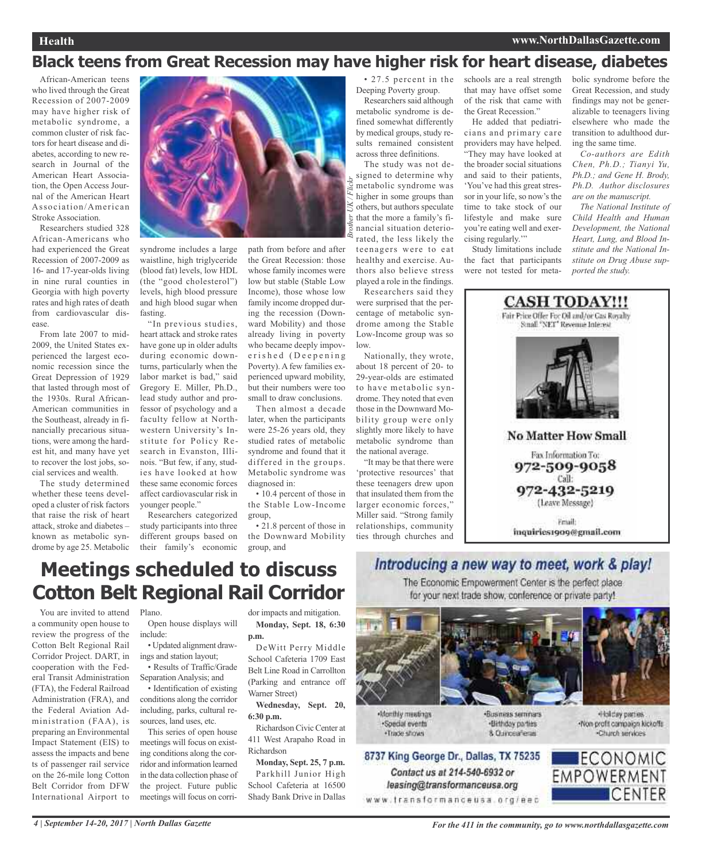## **Black teens from Great Recession may have higher risk for heart disease, diabetes**

*Brother UK / Flickr*

African-American teens who lived through the Great Recession of 2007-2009 may have higher risk of metabolic syndrome, a common cluster of risk factors for heart disease and diabetes, according to new research in Journal of the American Heart Association, the Open Access Journal of the American Heart Association/American Stroke Association.

Researchers studied 328 African-Americans who had experienced the Great Recession of 2007-2009 as 16- and 17-year-olds living in nine rural counties in Georgia with high poverty rates and high rates of death from cardiovascular disease.

From late 2007 to mid-2009, the United States experienced the largest economic recession since the Great Depression of 1929 that lasted through most of the 1930s. Rural African-American communities in the Southeast, already in financially precarious situations, were among the hardest hit, and many have yet to recover the lost jobs, social services and wealth.

The study determined whether these teens developed a cluster of risk factors that raise the risk of heart attack, stroke and diabetes – known as metabolic syndrome by age 25. Metabolic



syndrome includes a large waistline, high triglyceride (blood fat) levels, low HDL (the "good cholesterol") levels, high blood pressure and high blood sugar when fasting.

"In previous studies, heart attack and stroke rates have gone up in older adults during economic downturns, particularly when the labor market is bad," said Gregory E. Miller, Ph.D., lead study author and professor of psychology and a faculty fellow at Northwestern University's Institute for Policy Research in Evanston, Illinois. "But few, if any, studies have looked at how these same economic forces affect cardiovascular risk in younger people."

Researchers categorized study participants into three different groups based on their family's economic group, and

path from before and after the Great Recession: those whose family incomes were low but stable (Stable Low Income), those whose low family income dropped during the recession (Downward Mobility) and those already living in poverty who became deeply impoverished (Deepening Poverty). A few families experienced upward mobility, but their numbers were too small to draw conclusions.

Then almost a decade later, when the participants were 25-26 years old, they studied rates of metabolic syndrome and found that it differed in the groups. Metabolic syndrome was diagnosed in:

• 10.4 percent of those in the Stable Low-Income group,

• 21.8 percent of those in the Downward Mobility

• 27.5 percent in the Deeping Poverty group.

Researchers said although metabolic syndrome is defined somewhat differently by medical groups, study results remained consistent across three definitions.

The study was not designed to determine why metabolic syndrome was higher in some groups than others, but authors speculate that the more a family's financial situation deteriorated, the less likely the teenagers were to eat healthy and exercise. Authors also believe stress played a role in the findings.

Researchers said they were surprised that the percentage of metabolic syndrome among the Stable Low-Income group was so low.

Nationally, they wrote, about 18 percent of 20- to 29-year-olds are estimated to have metabolic syndrome. They noted that even those in the Downward Mobility group were only slightly more likely to have metabolic syndrome than the national average.

"It may be that there were 'protective resources' that these teenagers drew upon that insulated them from the larger economic forces," Miller said. "Strong family relationships, community ties through churches and

schools are a real strength that may have offset some of the risk that came with the Great Recession."

He added that pediatricians and primary care providers may have helped. "They may have looked at the broader social situations and said to their patients, 'You've had this great stressor in your life, so now's the time to take stock of our lifestyle and make sure you're eating well and exercising regularly.'"

Study limitations include the fact that participants were not tested for metabolic syndrome before the Great Recession, and study findings may not be generalizable to teenagers living elsewhere who made the transition to adulthood during the same time.

*Co-authors are Edith Chen, Ph.D.; Tianyi Yu, Ph.D.; and Gene H. Brody, Ph.D. Author disclosures are on the manuscript.*

*The National Institute of Child Health and Human Development, the National Heart, Lung, and Blood Institute and the National Institute on Drug Abuse supported the study.*



## **Meetings scheduled to discuss Cotton Belt Regional Rail Corridor**

You are invited to attend Plano. a community open house to review the progress of the Cotton Belt Regional Rail Corridor Project. DART, in cooperation with the Federal Transit Administration (FTA), the Federal Railroad Administration (FRA), and the Federal Aviation Administration (FAA), is preparing an Environmental Impact Statement (EIS) to assess the impacts and bene ts of passenger rail service on the 26-mile long Cotton Belt Corridor from DFW International Airport to

Open house displays will include:

• Updated alignment drawings and station layout; • Results of Traffic/Grade

Separation Analysis; and

• Identification of existing conditions along the corridor including, parks, cultural resources, land uses, etc.

This series of open house meetings will focus on existing conditions along the corridor and information learned in the data collection phase of the project. Future public meetings will focus on corridor impacts and mitigation. **Monday, Sept. 18, 6:30 p.m.**

DeWitt Perry Middle School Cafeteria 1709 East Belt Line Road in Carrollton (Parking and entrance off Warner Street)

**Wednesday, Sept. 20, 6:30 p.m.**

Richardson Civic Center at 411 West Arapaho Road in Richardson

**Monday, Sept. 25, 7 p.m.** Parkhill Junior High School Cafeteria at 16500 Shady Bank Drive in Dallas Introducing a new way to meet, work & play! The Economic Empowerment Center is the perfect place

for your next trade show, conference or private party!



Contact us at 214-540-6932 or

leasing@transformanceusa.org

Monthly meetings ·Special events ·Trade shows

«Business seminars ·Birthday parties 8. Curicea Tenas

Holday parties -Non-profit compaign kickoffs Charch services

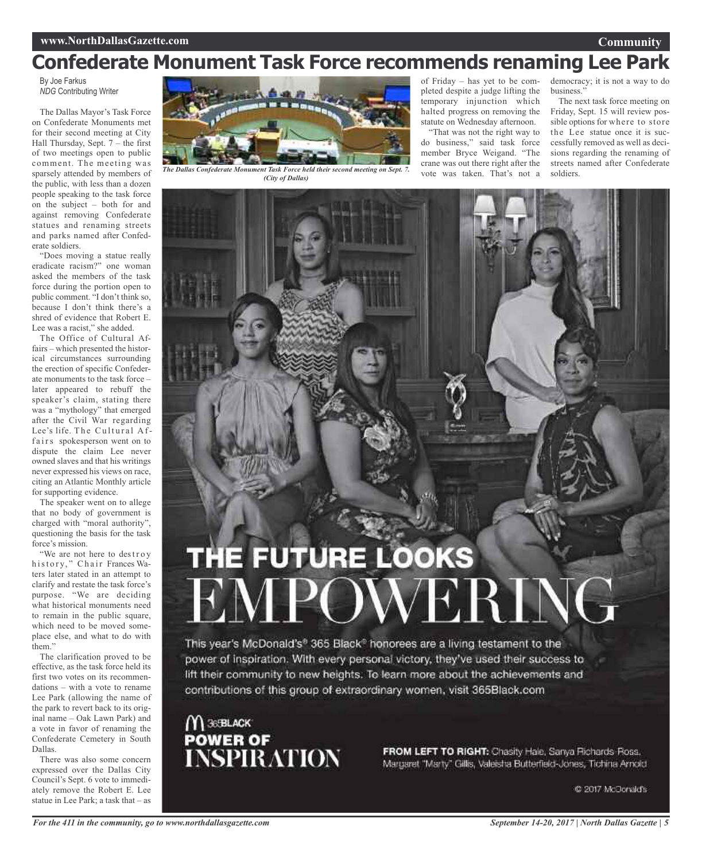## **Confederate Monument Task Force recommends renaming Lee Park**

By Joe Farkus *NDG* Contributing Writer

The Dallas Mayor's Task Force on Confederate Monuments met for their second meeting at City Hall Thursday, Sept. 7 – the first of two meetings open to public comment. The meeting was sparsely attended by members of the public, with less than a dozen people speaking to the task force on the subject – both for and against removing Confederate statues and renaming streets and parks named after Confederate soldiers.

"Does moving a statue really eradicate racism?" one woman asked the members of the task force during the portion open to public comment. "I don't think so, because I don't think there's a shred of evidence that Robert E. Lee was a racist," she added.

The Office of Cultural Affairs – which presented the historical circumstances surrounding the erection of specific Confederate monuments to the task force – later appeared to rebuff the speaker's claim, stating there was a "mythology" that emerged after the Civil War regarding Lee's life. The Cultural Affairs spokesperson went on to dispute the claim Lee never owned slaves and that his writings never expressed his views on race, citing an Atlantic Monthly article for supporting evidence.

The speaker went on to allege that no body of government is charged with "moral authority", questioning the basis for the task force's mission.

"We are not here to destroy history," Chair Frances Waters later stated in an attempt to clarify and restate the task force's purpose. "We are deciding what historical monuments need to remain in the public square, which need to be moved someplace else, and what to do with them"

The clarification proved to be effective, as the task force held its first two votes on its recommendations – with a vote to rename Lee Park (allowing the name of the park to revert back to its original name – Oak Lawn Park) and a vote in favor of renaming the Confederate Cemetery in South Dallas.

There was also some concern expressed over the Dallas City Council's Sept. 6 vote to immediately remove the Robert E. Lee statue in Lee Park; a task that – as



soldiers. *The Dallas Confederate Monument Task Force held their second meeting on Sept. 7. (City of Dallas)*

of Friday – has yet to be completed despite a judge lifting the temporary injunction which halted progress on removing the statute on Wednesday afternoon.

"That was not the right way to do business," said task force member Bryce Weigand. "The crane was out there right after the vote was taken. That's not a

democracy; it is not a way to do business."

The next task force meeting on Friday, Sept. 15 will review possible options for where to store the Lee statue once it is successfully removed as well as decisions regarding the renaming of streets named after Confederate

# THE FUTURE LOOKS

This year's McDonald's<sup>6</sup> 365 Black<sup>®</sup> honorees are a living testament to the power of inspiration. With every personal victory, they've used their success to lift their community to new heights. To learn more about the achievements and contributions of this group of extraordinary women, visit 365Black.com

 $M$ 36 BLACK POWER OF<br>INSPIRATION

FROM LEFT TO RIGHT: Chasity Hale, Sanya Richards Ross. Margaret "Marty" Gillis, Valeisha Butterfield-Jones, Tichina Arnold

C 2017 McDonald's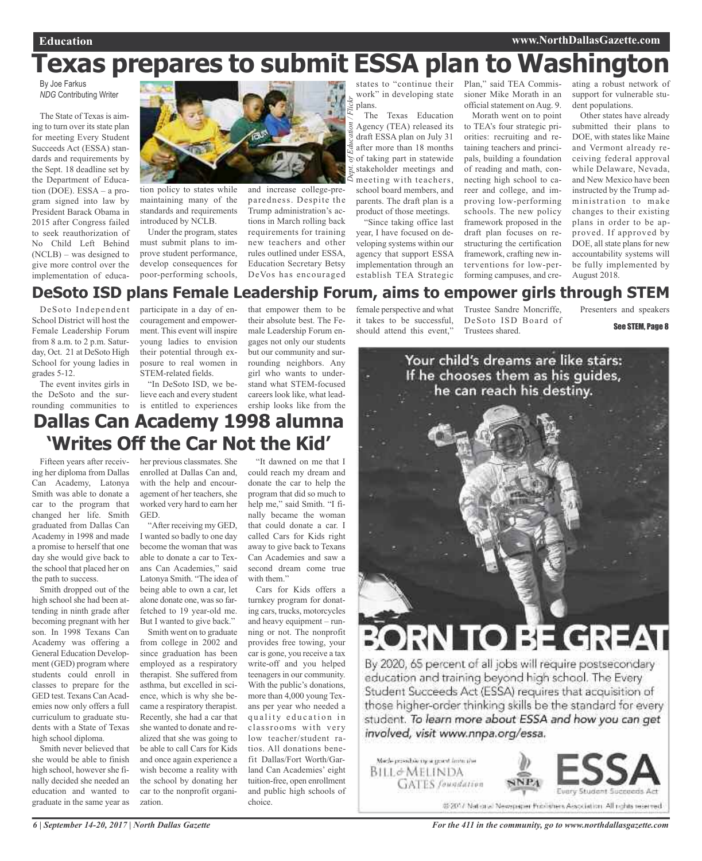# **Texas prepares to submit ESSA plan to Washington**

*Dept. of*

By Joe Farkus *NDG* Contributing Writer

The State of Texas is aiming to turn over its state plan for meeting Every Student Succeeds Act (ESSA) standards and requirements by the Sept. 18 deadline set by the Department of Education (DOE). ESSA – a program signed into law by President Barack Obama in 2015 after Congress failed to seek reauthorization of No Child Left Behind (NCLB) – was designed to give more control over the implementation of educa-



tion policy to states while maintaining many of the standards and requirements introduced by NCLB.

Under the program, states must submit plans to improve student performance, develop consequences for poor-performing schools, and increase college-preparedness. Despite the Trump administration's actions in March rolling back requirements for training new teachers and other rules outlined under ESSA, Education Secretary Betsy DeVos has encouraged

states to "continue their work" in developing state plans. *Education / Flickr*

The Texas Education Agency (TEA) released its draft ESSA plan on July 31 after more than 18 months of taking part in statewide stakeholder meetings and meeting with teachers, school board members, and parents. The draft plan is a product of those meetings.

"Since taking office last year, I have focused on developing systems within our agency that support ESSA implementation through an establish TEA Strategic

Plan," said TEA Commissioner Mike Morath in an official statement on Aug. 9.

> Morath went on to point to TEA's four strategic priorities: recruiting and retaining teachers and principals, building a foundation of reading and math, connecting high school to career and college, and improving low-performing schools. The new policy framework proposed in the draft plan focuses on restructuring the certification framework, crafting new interventions for low-performing campuses, and cre

ating a robust network of support for vulnerable student populations.

Other states have already submitted their plans to DOE, with states like Maine and Vermont already receiving federal approval while Delaware, Nevada, and New Mexico have been instructed by the Trump administration to make changes to their existing plans in order to be approved. If approved by DOE, all state plans for new accountability systems will be fully implemented by August 2018.

## **DeSoto ISD plans Female Leadership Forum, aims to empower girls through STEM**

DeSoto Independent School District will host the Female Leadership Forum from 8 a.m. to 2 p.m. Saturday, Oct. 21 at DeSoto High School for young ladies in grades 5-12.

The event invites girls in the DeSoto and the surrounding communities to

participate in a day of encouragement and empowerment. This event will inspire young ladies to envision their potential through exposure to real women in STEM-related fields.

"In DeSoto ISD, we believe each and every student is entitled to experiences ership looks like from the

that empower them to be their absolute best. The Female Leadership Forum engages not only our students but our community and surrounding neighbors. Any girl who wants to understand what STEM-focused careers look like, what lead-

## **Dallas Can Academy 1998 alumna 'Writes Off the Car Not the Kid'**

Fifteen years after receiving her diploma from Dallas Can Academy, Latonya Smith was able to donate a car to the program that changed her life. Smith graduated from Dallas Can Academy in 1998 and made a promise to herself that one day she would give back to the school that placed her on the path to success.

Smith dropped out of the high school she had been attending in ninth grade after becoming pregnant with her son. In 1998 Texans Can Academy was offering a General Education Development (GED) program where students could enroll in classes to prepare for the GED test. Texans CanAcademies now only offers a full curriculum to graduate students with a State of Texas high school diploma.

Smith never believed that she would be able to finish high school, however she finally decided she needed an education and wanted to graduate in the same year as her previous classmates. She enrolled at Dallas Can and, with the help and encouragement of her teachers, she worked very hard to earn her **GED** 

"After receiving my GED, I wanted so badly to one day become the woman that was able to donate a car to Texans Can Academies," said Latonya Smith. "The idea of being able to own a car, let alone donate one, was so farfetched to 19 year-old me. But I wanted to give back."

Smith went on to graduate from college in 2002 and since graduation has been employed as a respiratory therapist. She suffered from asthma, but excelled in science, which is why she became a respiratory therapist. Recently, she had a car that she wanted to donate and realized that she was going to be able to call Cars for Kids and once again experience a wish become a reality with the school by donating her car to the nonprofit organization.

"It dawned on me that I could reach my dream and donate the car to help the program that did so much to help me," said Smith. "I finally became the woman that could donate a car. I called Cars for Kids right away to give back to Texans Can Academies and saw a second dream come true with them."

Cars for Kids offers a turnkey program for donating cars, trucks, motorcycles and heavy equipment – running or not. The nonprofit provides free towing, your car is gone, you receive a tax write-off and you helped teenagers in our community. With the public's donations, more than 4,000 young Texans per year who needed a quality education in classrooms with very low teacher/student ratios. All donations benefit Dallas/Fort Worth/Garland Can Academies' eight tuition-free, open enrollment and public high schools of choice.

female perspective and what it takes to be successful, should attend this event,"

Trustee Sandre Moncriffe, DeSoto ISD Board of Trustees shared.

Presenters and speakers





# RN TO BE GREAT

By 2020, 65 percent of all jobs will require postsecondary education and training beyond high school. The Every Student Succeeds Act (ESSA) requires that acquisition of those higher-order thinking skills be the standard for every student. To learn more about ESSA and how you can get involved, visit www.nnpa.org/essa.

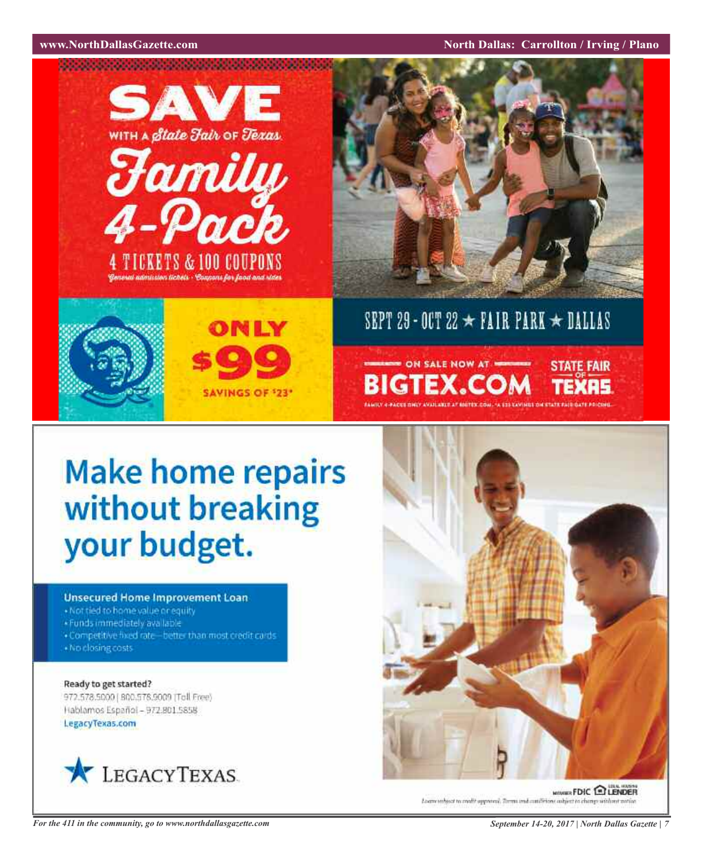**WAWRIGHT WAS SEXUAL SEXUAL SEXUAL SEXUAL SEXUAL SEXUAL SEXUAL SEXUAL SEXUAL SEXUAL SEXUAL SEXUAL SEXUAL SEXUAL SE** 



# **Make home repairs** without breaking your budget.

## **Unsecured Home Improvement Loan**

- · Not tied to home value or equity
- \*Funds immediately available
- . Competitive fixed rate-better than most credit cards · No closing costs

Ready to get started? 972.578.5000 | 800.578.9000 (Toll Free) Hablamos Español - 972-801.5858

LegacyTexas.com





**MOVER FDIC ENDER** Loans subject to enable approved. Terms and conditions subject to change without wati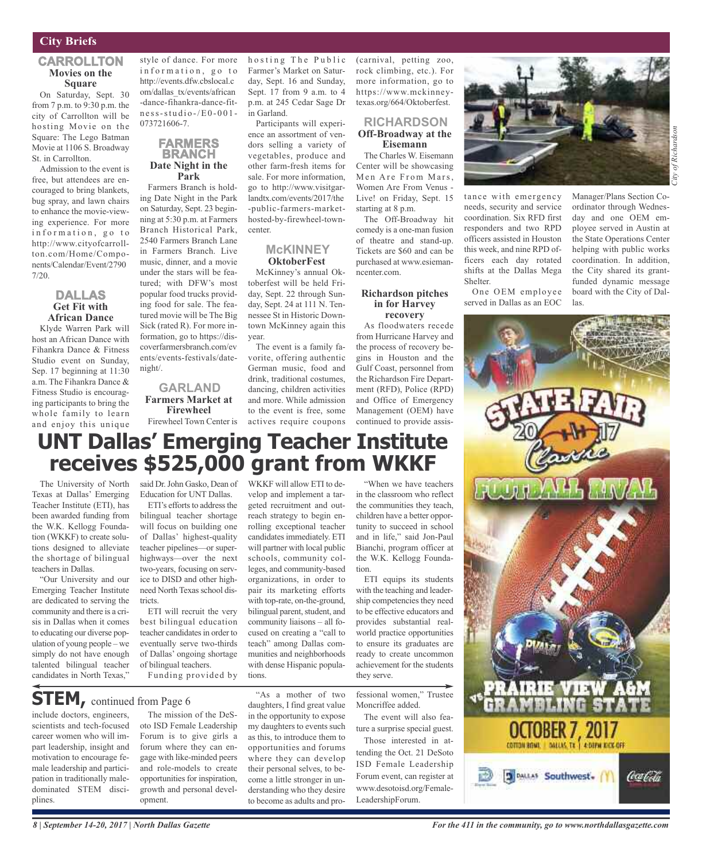## **City Briefs**

#### **CARROLLTON Movies on the Square**

On Saturday, Sept. 30 from 7 p.m. to 9:30 p.m. the city of Carrollton will be hosting Movie on the Square: The Lego Batman Movie at 1106 S. Broadway St. in Carrollton.

Admission to the event is free, but attendees are encouraged to bring blankets, bug spray, and lawn chairs to enhance the movie-viewing experience. For more information, go to http://www.cityofcarrollton.com/Home/Components/Calendar/Event/2790 7/20.

## **DALLAS Get Fit with African Dance**

Klyde Warren Park will host an African Dance with Fihankra Dance & Fitness Studio event on Sunday, Sep. 17 beginning at 11:30 a.m. The Fihankra Dance & Fitness Studio is encouraging participants to bring the whole family to learn and enjoy this unique

style of dance. For more information, go to http://events.dfw.cbslocal.c om/dallas\_tx/events/african -dance-fihankra-dance-fit $n e s s$  -  $s t u d i o$  -/E0 - 001 -073721606-7.

### **FARMERS BRANCH Date Night in the Park**

Farmers Branch is holding Date Night in the Park on Saturday, Sept. 23 beginning at 5:30 p.m. at Farmers Branch Historical Park, 2540 Farmers Branch Lane in Farmers Branch. Live music, dinner, and a movie under the stars will be featured; with DFW's most popular food trucks providing food for sale. The featured movie will be The Big Sick (rated R). For more information, go to https://discoverfarmersbranch.com/ev ents/events-festivals/datenight/.

#### **GARLAND Farmers Market at Firewheel** Firewheel Town Center is

h o sting The Public Farmer's Market on Saturday, Sept. 16 and Sunday, Sept. 17 from 9 a.m. to 4 p.m. at 245 Cedar Sage Dr in Garland.

Participants will experience an assortment of vendors selling a variety of vegetables, produce and other farm-fresh items for sale. For more information, go to http://www.visitgarlandtx.com/events/2017/the -public-farmers-markethosted-by-firewheel-towncenter.

## **McKINNEY OktoberFest**

McKinney's annual Oktoberfest will be held Friday, Sept. 22 through Sunday, Sept. 24 at 111 N. Tennessee St in Historic Downtown McKinney again this year.

The event is a family favorite, offering authentic German music, food and drink, traditional costumes, dancing, children activities and more. While admission to the event is free, some actives require coupons

WKKF will allow ETI to develop and implement a tar(carnival, petting zoo, rock climbing, etc.). For more information, go to https://www.mckinneytexas.org/664/Oktoberfest.

## **RICHARDSON Off-Broadway at the Eisemann**

The Charles W. Eisemann Center will be showcasing Men Are From Mars, Women Are From Venus - Live! on Friday, Sept. 15 starting at 8 p.m.

The Off-Broadway hit comedy is a one-man fusion of theatre and stand-up. Tickets are \$60 and can be purchased at www.esiemanncenter.com.

#### **Richardson pitches in for Harvey recovery**

As floodwaters recede from Hurricane Harvey and the process of recovery begins in Houston and the Gulf Coast, personnel from the Richardson Fire Department (RFD), Police (RPD) and Office of Emergency Management (OEM) have continued to provide assis-



tance with emergency needs, security and service coordination. Six RFD first responders and two RPD officers assisted in Houston this week, and nine RPD officers each day rotated shifts at the Dallas Mega Shelter.

One OEM employee served in Dallas as an EOC

Manager/Plans Section Coordinator through Wednesday and one OEM employee served in Austin at the State Operations Center helping with public works coordination. In addition, the City shared its grantfunded dynamic message board with the City of Dallas.



## **UNT Dallas' Emerging Teacher Institute receives \$525,000 grant from WKKF**

The University of North Texas at Dallas' Emerging Teacher Institute (ETI), has been awarded funding from the W.K. Kellogg Foundation (WKKF) to create solutions designed to alleviate the shortage of bilingual teachers in Dallas.

"Our University and our Emerging Teacher Institute are dedicated to serving the community and there is a crisis in Dallas when it comes to educating our diverse population of young people – we simply do not have enough talented bilingual teacher candidates in North Texas,"

said Dr.John Gasko, Dean of Education for UNT Dallas.

ETI's efforts to address the bilingual teacher shortage will focus on building one of Dallas' highest-quality teacher pipelines—or superhighways—over the next two-years, focusing on service to DISD and other highneed North Texas school districts.

ETI will recruit the very best bilingual education teacher candidates in order to eventually serve two-thirds of Dallas' ongoing shortage of bilingual teachers.

Funding provided by

## **STEM,** continued from Page <sup>6</sup>

include doctors, engineers, scientists and tech-focused career women who will impart leadership, insight and motivation to encourage female leadership and participation in traditionally maledominated STEM disciplines.

The mission of the DeSoto ISD Female Leadership Forum is to give girls a forum where they can engage with like-minded peers and role-models to create opportunities for inspiration, growth and personal development.

"As a mother of two geted recruitment and outreach strategy to begin enrolling exceptional teacher candidates immediately. ETI will partner with local public schools, community colleges, and community-based organizations, in order to pair its marketing efforts with top-rate, on-the-ground, bilingual parent, student, and community liaisons – all focused on creating a "call to teach" among Dallas communities and neighborhoods with dense Hispanic populations.

daughters, I find great value in the opportunity to expose my daughters to events such as this, to introduce them to opportunities and forums where they can develop their personal selves, to become a little stronger in understanding who they desire to become as adults and pro-

in the classroom who reflect the communities they teach, children have a better opportunity to succeed in school and in life," said Jon-Paul Bianchi, program officer at the W.K. Kellogg Foundation. ETI equips its students

"When we have teachers

with the teaching and leadership competencies they need to be effective educators and provides substantial realworld practice opportunities to ensure its graduates are ready to create uncommon achievement for the students they serve.

fessional women," Trustee Moncriffee added.

The event will also feature a surprise special guest.

Those interested in attending the Oct. 21 DeSoto ISD Female Leadership Forum event, can register at www.desotoisd.org/Female-LeadershipForum.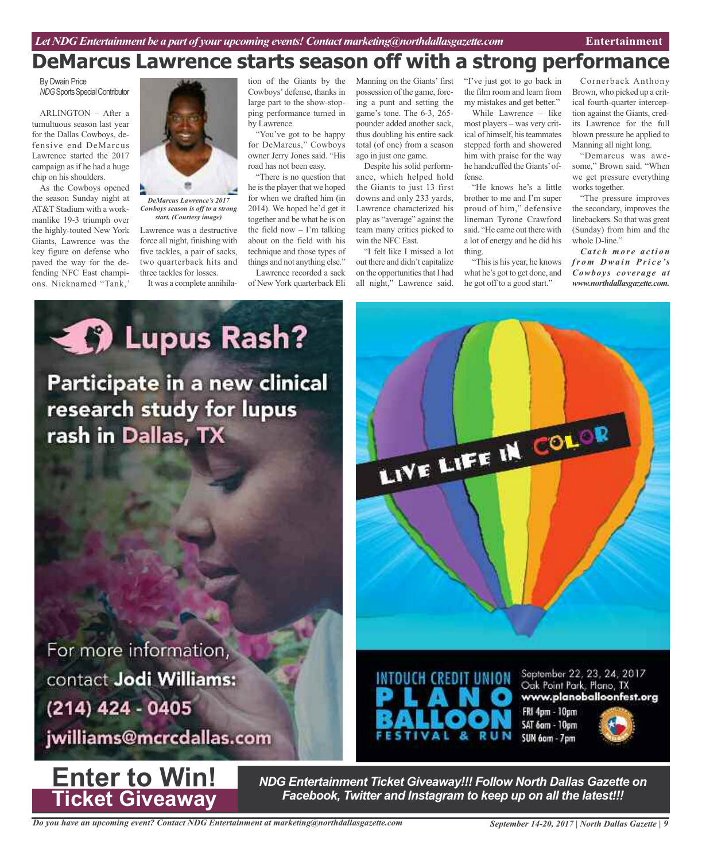## **DeMarcus Lawrence starts season off with a strong performance**

By Dwain Price **NDG** Sports Special Contributor

ARLINGTON – After a tumultuous season last year for the Dallas Cowboys, defensive end DeMarcus Lawrence started the 2017 campaign as if he had a huge chip on his shoulders.

As the Cowboys opened the season Sunday night at AT&T Stadium with a workmanlike 19-3 triumph over the highly-touted New York Giants, Lawrence was the key figure on defense who paved the way for the defending NFC East champions. Nicknamed "Tank,'



*DeMarcus Lawrence's 2017 Cowboys season is off to a strong start. (Courtesy image)*

Lawrence was a destructive force all night, finishing with five tackles, a pair of sacks, two quarterback hits and three tackles for losses.

It was a complete annihila-

tion of the Giants by the Cowboys' defense, thanks in large part to the show-stopping performance turned in by Lawrence.

"You've got to be happy for DeMarcus," Cowboys owner Jerry Jones said. "His road has not been easy.

"There is no question that he isthe player that we hoped for when we drafted him (in 2014). We hoped he'd get it together and be what he is on the field now  $-$  I'm talking about on the field with his technique and those types of things and not anything else."

Lawrence recorded a sack of New York quarterback Eli Manning on the Giants' first possession of the game, forcing a punt and setting the game's tone. The 6-3, 265 pounder added another sack, thus doubling his entire sack total (of one) from a season ago in just one game.

Despite his solid performance, which helped hold the Giants to just 13 first downs and only 233 yards, Lawrence characterized his play as "average" against the team many critics picked to win the NFC East.

"I felt like I missed a lot out there and didn't capitalize on the opportunities that I had all night," Lawrence said.

"I've just got to go back in the film room and learn from my mistakes and get better."

While Lawrence – like most players – was very critical of himself, his teammates stepped forth and showered him with praise for the way he handcuffed the Giants'offense.

"He knows he's a little brother to me and I'm super proud of him," defensive lineman Tyrone Crawford said. "He came out there with a lot of energy and he did his thing.

"This is his year, he knows what he's got to get done, and he got off to a good start."

Cornerback Anthony Brown, who picked up a critical fourth-quarter interception against the Giants, credits Lawrence for the full blown pressure he applied to Manning all night long.

"Demarcus was awesome," Brown said. "When we get pressure everything works together.

"The pressure improves the secondary, improves the linebackers. So that was great (Sunday) from him and the whole D-line."

*Ca t c h mo r e a c t i o n fr o m D wa i n P ri c e 's Cowboys coverage at www.northdallasgazette.com.*



For more information, contact Jodi Williams: (214) 424 - 0405

jwilliams@mcrcdallas.com



*NDG Entertainment Ticket Giveaway!!! Follow North Dallas Gazette on Facebook, Twitter and Instagram to keep up on all the latest!!!*

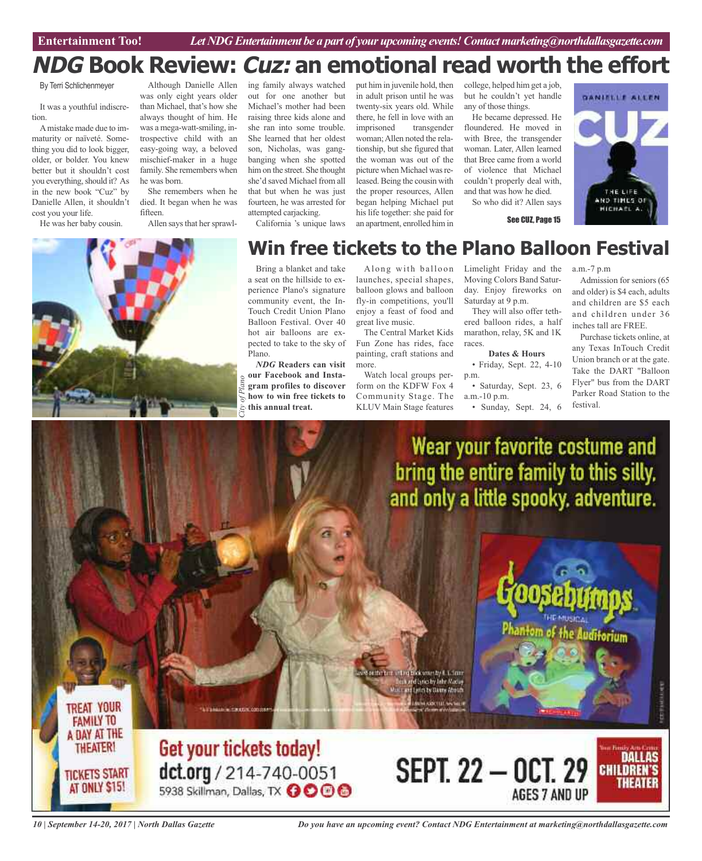**Car Review Entertainment Too!** *Let NDG Entertainment be a part of your upcoming events!Contactmarketing@northdallasgazette.com*

## **NDG Book Review: Cuz: an emotional read worth the effort**

By Terri Schlichenmeyer

It was a youthful indiscretion.

Amistake made due to immaturity or naïveté. Something you did to look bigger, older, or bolder. You knew better but it shouldn't cost you everything, should it? As in the new book "Cuz" by Danielle Allen, it shouldn't cost you your life.

He was her baby cousin.

Although Danielle Allen was only eight years older than Michael, that's how she always thought of him. He was a mega-watt-smiling, introspective child with an easy-going way, a beloved mischief-maker in a huge family. She remembers when he was born.

She remembers when he died. It began when he was fifteen.

Allen says that her sprawl-

ing family always watched out for one another but Michael's mother had been raising three kids alone and she ran into some trouble. She learned that her oldest son, Nicholas, was gangbanging when she spotted him on the street. She thought she'd saved Michael from all that but when he was just fourteen, he was arrested for attempted carjacking. California 's unique laws

in adult prison until he was twenty-six years old. While there, he fell in love with an imprisoned transgender woman;Allen noted the relationship, but she figured that the woman was out of the picture when Michael was released. Being the cousin with the proper resources, Allen began helping Michael put his life together: she paid for an apartment, enrolled him in

put him in juvenile hold, then

college, helped him get a job, but he couldn't yet handle any of those things.

He became depressed. He floundered. He moved in with Bree, the transgender woman. Later, Allen learned that Bree came from a world of violence that Michael couldn't properly deal with, and that was how he died.

So who did it? Allen says

See CUZ, Page 15



# *City of Plano*

## **Win free tickets to the Plano Balloon Festival**

Bring a blanket and take a seat on the hillside to experience Plano's signature community event, the In-Touch Credit Union Plano Balloon Festival. Over 40 hot air balloons are expected to take to the sky of Plano.

*NDG* **Readers can visit our Facebook and Instagram profiles to discover how to win free tickets to this annual treat.**

**CHECKER COLOR** 

Get your tickets today!

dct.org / 214-740-0051<br>5938 Skillman, Dallas, TX 0000

Along with balloon launches, special shapes, balloon glows and balloon fly-in competitions, you'll enjoy a feast of food and great live music.

The Central Market Kids Fun Zone has rides, face painting, craft stations and more.

Watch local groups perform on the KDFW Fox 4 Community Stage. The KLUV Main Stage features

Limelight Friday and the a.m.-7 p.m Moving Colors Band Saturday. Enjoy fireworks on Saturday at 9 p.m.

They will also offer tethered balloon rides, a half marathon, relay, 5K and 1K races.

**Dates & Hours** • Friday, Sept. 22, 4-10 p.m.

• Saturday, Sept. 23, 6 a.m.-10 p.m.

• Sunday, Sept. 24, 6

Admission for seniors (65 and older) is \$4 each, adults and children are \$5 each and children under 36 inches tall are FREE.

Purchase tickets online, at any Texas InTouch Credit Union branch or at the gate. Take the DART "Balloon Flyer" bus from the DART Parker Road Station to the festival.

DALLAS

THEATER

**CHILDREN'S** 



and ing brook worse by 8.3. Smith Auf distinctly John Madag and Lycles by Dawns About **MARKULLW** 

**TREAT YOUR FAMILY TO** A DAY AT THE **THEATER! TICKETS START** AT ONLY \$15!

*10 | September 14-20, 2017 | North Dallas Gazette*

*Do you have an upcoming event? Contact NDG Entertainment at marketing@northdallasgazette.com*

**SEPT. 22 - OCT. 29** 

AGES 7 AND UP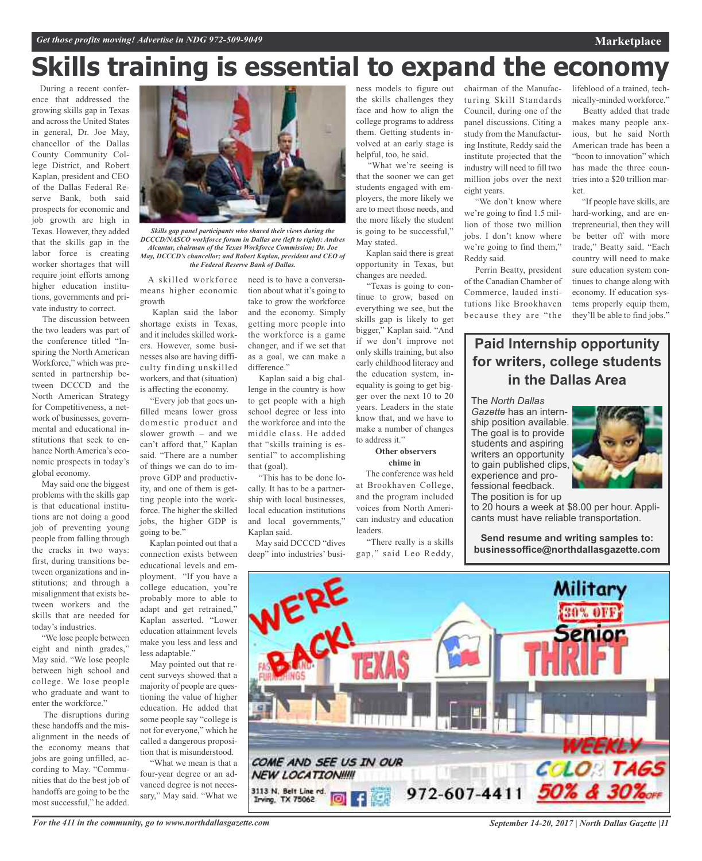# **Skills training is essential to expand the economy**

During a recent conference that addressed the growing skills gap in Texas and across the United States in general, Dr. Joe May, chancellor of the Dallas County Community College District, and Robert Kaplan, president and CEO of the Dallas Federal Reserve Bank, both said prospects for economic and job growth are high in Texas. However, they added that the skills gap in the labor force is creating worker shortages that will require joint efforts among higher education institutions, governments and private industry to correct.

The discussion between the two leaders was part of the conference titled "Inspiring the North American Workforce," which was presented in partnership between DCCCD and the North American Strategy for Competitiveness, a network of businesses, governmental and educational institutions that seek to enhance North America's economic prospects in today's global economy.

May said one the biggest problems with the skills gap is that educational institutions are not doing a good job of preventing young people from falling through the cracks in two ways: first, during transitions between organizations and institutions; and through a misalignment that exists between workers and the skills that are needed for today's industries.

"We lose people between eight and ninth grades," May said. "We lose people between high school and college. We lose people who graduate and want to enter the workforce."

The disruptions during these handoffs and the misalignment in the needs of the economy means that jobs are going unfilled, according to May. "Communities that do the best job of handoffs are going to be the most successful," he added.



*Skills gap panel participants who shared their views during the DCCCD/NASCO workforce forum in Dallas are (left to right): Andres Alcantar, chairman of the Texas Workforce Commission; Dr. Joe May, DCCCD's chancellor; and Robert Kaplan, president and CEO of the Federal Reserve Bank of Dallas.*

means higher economic growth

Kaplan said the labor shortage exists in Texas, and it includes skilled workers. However, some businesses also are having difficulty finding unskilled workers, and that (situation) is affecting the economy.

"Every job that goes unfilled means lower gross domestic product and slower growth – and we can't afford that," Kaplan said. "There are a number of things we can do to improve GDP and productivity, and one of them is getting people into the workforce. The higher the skilled jobs, the higher GDP is going to be."

Kaplan pointed out that a connection exists between educational levels and employment. "If you have a college education, you're probably more to able to adapt and get retrained," Kaplan asserted. "Lower education attainment levels make you less and less and less adaptable."

May pointed out that recent surveys showed that a majority of people are questioning the value of higher education. He added that some people say "college is not for everyone," which he called a dangerous proposition that is misunderstood.

"What we mean is that a four-year degree or an advanced degree is not necessary," May said. "What we

A skilled workforce need is to have a conversation about what it's going to take to grow the workforce and the economy. Simply getting more people into the workforce is a game changer, and if we set that as a goal, we can make a difference."

Kaplan said a big challenge in the country is how to get people with a high school degree or less into the workforce and into the middle class. He added that "skills training is essential" to accomplishing that (goal).

"This has to be done locally. It has to be a partnership with local businesses, local education institutions and local governments," Kaplan said.

May said DCCCD "dives deep" into industries' business models to figure out the skills challenges they face and how to align the college programs to address them. Getting students involved at an early stage is helpful, too, he said.

"What we're seeing is that the sooner we can get students engaged with employers, the more likely we are to meet those needs, and the more likely the student is going to be successful," May stated.

Kaplan said there is great opportunity in Texas, but changes are needed.

"Texas is going to continue to grow, based on everything we see, but the skills gap is likely to get bigger," Kaplan said. "And if we don't improve not only skills training, but also early childhood literacy and the education system, inequality is going to get bigger over the next 10 to 20 years. Leaders in the state know that, and we have to make a number of changes to address it."

#### **Other observers chime in**

The conference was held at Brookhaven College, and the program included voices from North American industry and education leaders.

"There really is a skills gap," said Leo Reddy,

chairman of the Manufacturing Skill Standards Council, during one of the panel discussions. Citing a study from the Manufacturing Institute, Reddy said the institute projected that the industry will need to fill two million jobs over the next eight years.

"We don't know where we're going to find 1.5 million of those two million jobs. I don't know where we're going to find them," Reddy said.

Perrin Beatty, president of the Canadian Chamber of Commerce, lauded institutions like Brookhaven because they are "the lifeblood of a trained, technically-minded workforce."

**Marketplace**

Beatty added that trade makes many people anxious, but he said North American trade has been a "boon to innovation" which has made the three countries into a \$20 trillion market.

"If people have skills, are hard-working, and are entrepreneurial, then they will be better off with more trade," Beatty said. "Each country will need to make sure education system continues to change along with economy. If education systems properly equip them, they'll be able to find jobs."

## **Paid Internship opportunity for writers, college students in the Dallas Area**

The *North Dallas Gazette* has an internship position available. The goal is to provide students and aspiring writers an opportunity to gain published clips, experience and professional feedback. The position is for up

to 20 hours a week at \$8.00 per hour. Applicants must have reliable transportation.

**Send resume and writing samples to: businessoffice@northdallasgazette.com**



*September 14-20, 2017 | North Dallas Gazette |11*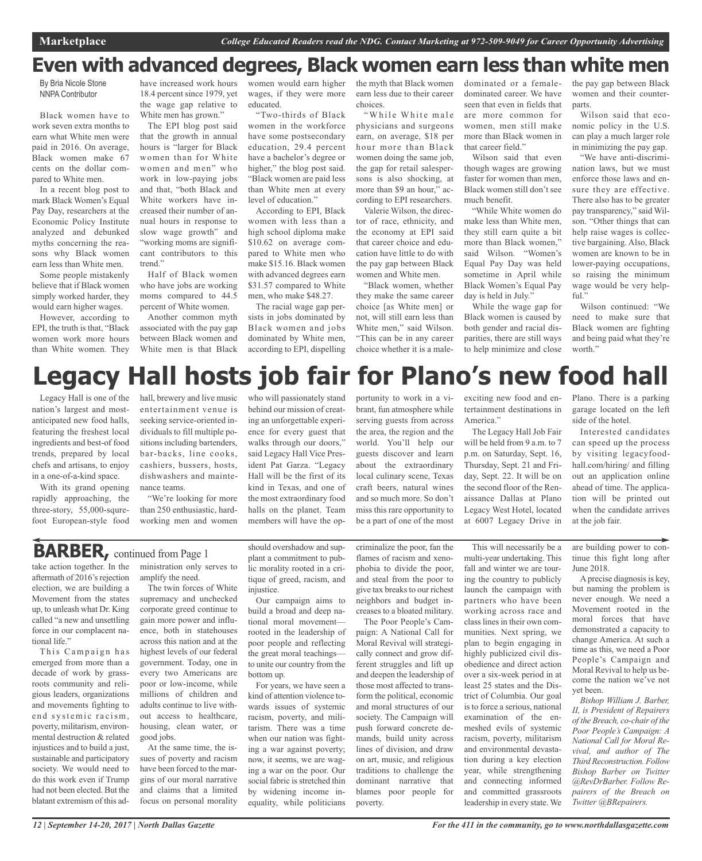## **Even with advanced degrees, Black women earn less than white men**

By Bria Nicole Stone NNPA Contributor

Black women have to work seven extra months to earn what White men were paid in 2016. On average, Black women make 67 cents on the dollar compared to White men.

In a recent blog post to mark Black Women's Equal Pay Day, researchers at the Economic Policy Institute analyzed and debunked myths concerning the reasons why Black women earn less than White men.

Some people mistakenly believe that if Black women simply worked harder, they would earn higher wages.

However, according to EPI, the truth is that, "Black women work more hours than White women. They have increased work hours 18.4 percent since 1979, yet the wage gap relative to White men has grown."

The EPI blog post said that the growth in annual hours is "larger for Black women than for White women and men" who work in low-paying jobs and that, "both Black and White workers have increased their number of annual hours in response to slow wage growth" and "working moms are significant contributors to this trend."

Half of Black women who have jobs are working moms compared to 44.5 percent of White women.

Another common myth associated with the pay gap between Black women and White men is that Black women would earn higher wages, if they were more educated.

"Two-thirds of Black women in the workforce have some postsecondary education, 29.4 percent have a bachelor's degree or higher," the blog post said. "Black women are paid less than White men at every level of education."

According to EPI, Black women with less than a high school diploma make \$10.62 on average compared to White men who make \$15.16. Black women with advanced degrees earn \$31.57 compared to White men, who make \$48.27.

The racial wage gap persists in jobs dominated by Black women and jobs dominated by White men, according to EPI, dispelling the myth that Black women earn less due to their career choices.

"While White male physicians and surgeons earn, on average, \$18 per hour more than Black women doing the same job, the gap for retail salespersons is also shocking, at more than \$9 an hour," according to EPI researchers. Valerie Wilson, the direc-

tor of race, ethnicity, and the economy at EPI said that career choice and education have little to do with the pay gap between Black women and White men.

"Black women, whether they make the same career choice [as White men] or not, will still earn less than White men," said Wilson. "This can be in any career choice whether it is a maledominated or a femaledominated career. We have seen that even in fields that are more common for women, men still make more than Black women in that career field."

Wilson said that even though wages are growing faster for women than men, Black women still don't see much benefit.

"While White women do make less than White men, they still earn quite a bit more than Black women," said Wilson. "Women's Equal Pay Day was held sometime in April while Black Women's Equal Pay day is held in July."

While the wage gap for Black women is caused by both gender and racial disparities, there are still ways to help minimize and close

the pay gap between Black women and their counterparts.

Wilson said that economic policy in the U.S. can play a much larger role in minimizing the pay gap.

"We have anti-discrimination laws, but we must enforce those laws and ensure they are effective. There also has to be greater pay transparency," said Wilson. "Other things that can help raise wages is collective bargaining. Also, Black women are known to be in lower-paying occupations, so raising the minimum wage would be very helpful."

Wilson continued: "We need to make sure that Black women are fighting and being paid what they're worth."

# **Legacy Hall hosts job fair for Plano's new food hall**

Legacy Hall is one of the nation's largest and mostanticipated new food halls, featuring the freshest local ingredients and best-of food trends, prepared by local chefs and artisans, to enjoy in a one-of-a-kind space.

With its grand opening rapidly approaching, the three-story, 55,000-squrefoot European-style food hall, brewery and live music entertainment venue is seeking service-oriented individuals to fill multiple positions including bartenders, bar-backs, line cooks, cashiers, bussers, hosts, dishwashers and maintenance teams.

"We're looking for more than 250 enthusiastic, hardworking men and women

who will passionately stand behind our mission of creating an unforgettable experience for every guest that walks through our doors," said Legacy Hall Vice President Pat Garza. "Legacy Hall will be the first of its kind in Texas, and one of the most extraordinary food halls on the planet. Team members will have the opportunity to work in a vibrant, fun atmosphere while serving guests from across the area, the region and the world. You'll help our guests discover and learn about the extraordinary local culinary scene, Texas craft beers, natural wines and so much more. So don't miss this rare opportunity to be a part of one of the most

exciting new food and entertainment destinations in America<sup>'</sup>

The Legacy Hall Job Fair will be held from 9 a.m. to 7 p.m. on Saturday, Sept. 16, Thursday, Sept. 21 and Friday, Sept. 22. It will be on the second floor of the Renaissance Dallas at Plano Legacy West Hotel, located at 6007 Legacy Drive in Plano. There is a parking garage located on the left side of the hotel.

Interested candidates can speed up the process by visiting legacyfoodhall.com/hiring/ and filling out an application online ahead of time. The application will be printed out when the candidate arrives at the job fair.

## **BARBER,** continued from Page <sup>1</sup>

take action together. In the aftermath of 2016's rejection election, we are building a Movement from the states up, to unleash what Dr. King called "a new and unsettling force in our complacent national life."

This Campaign has emerged from more than a decade of work by grassroots community and religious leaders, organizations and movements fighting to end systemic racism, poverty, militarism, environmental destruction & related injustices and to build a just, sustainable and participatory society. We would need to do this work even if Trump had not been elected. But the blatant extremism of this ad-

ministration only serves to amplify the need.

The twin forces of White supremacy and unchecked corporate greed continue to gain more power and influence, both in statehouses across this nation and at the highest levels of our federal government. Today, one in every two Americans are poor or low-income, while millions of children and adults continue to live without access to healthcare, housing, clean water, or good jobs.

At the same time, the issues of poverty and racism have been forced to the margins of our moral narrative and claims that a limited focus on personal morality should overshadow and supplant a commitment to public morality rooted in a critique of greed, racism, and injustice.

Our campaign aims to build a broad and deep national moral movement rooted in the leadership of poor people and reflecting the great moral teachings to unite our country from the bottom up.

For years, we have seen a kind of attention violence towards issues of systemic racism, poverty, and militarism. There was a time when our nation was fighting a war against poverty; now, it seems, we are waging a war on the poor. Our social fabric is stretched thin by widening income inequality, while politicians

criminalize the poor, fan the flames of racism and xenophobia to divide the poor, and steal from the poor to give tax breaks to our richest neighbors and budget increases to a bloated military.

The Poor People's Campaign: A National Call for Moral Revival will strategically connect and grow different struggles and lift up and deepen the leadership of those most affected to transform the political, economic and moral structures of our society. The Campaign will push forward concrete demands, build unity across lines of division, and draw on art, music, and religious traditions to challenge the dominant narrative that blames poor people for poverty.

This will necessarily be a multi-year undertaking. This fall and winter we are touring the country to publicly launch the campaign with partners who have been working across race and class lines in their own communities. Next spring, we plan to begin engaging in highly publicized civil disobedience and direct action over a six-week period in at least 25 states and the District of Columbia. Our goal isto force a serious, national examination of the enmeshed evils of systemic racism, poverty, militarism and environmental devastation during a key election year, while strengthening and connecting informed and committed grassroots leadership in every state. We

are building power to continue this fight long after June 2018.

A precise diagnosis is key, but naming the problem is never enough. We need a Movement rooted in the moral forces that have demonstrated a capacity to change America. At such a time as this, we need a Poor People's Campaign and Moral Revival to help us become the nation we've not yet been.

*Bishop William J. Barber, II, is President of Repairers of the Breach, co-chair of the Poor People's Campaign: A National Call for Moral Revival, and author of The Third Reconstruction. Follow Bishop Barber on Twitter @RevDrBarber. Follow Repairers of the Breach on Twitter @BRepairers.*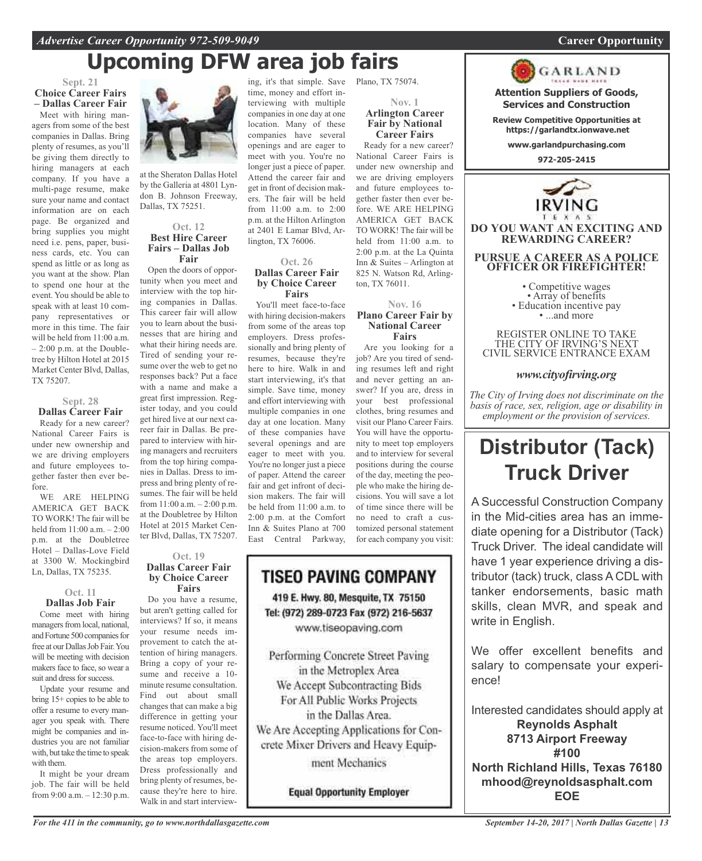## **Upcoming DFW area job fairs**

**Sept. 21 Choice Career Fairs – Dallas Career Fair**

Meet with hiring managers from some of the best companies in Dallas. Bring plenty of resumes, as you'll be giving them directly to hiring managers at each company. If you have a multi-page resume, make sure your name and contact information are on each page. Be organized and bring supplies you might need i.e. pens, paper, business cards, etc. You can spend as little or as long as you want at the show. Plan to spend one hour at the event. You should be able to speak with at least 10 company representatives or more in this time. The fair will be held from 11:00 a.m.  $-2:00$  p.m. at the Doubletree by Hilton Hotel at 2015 Market Center Blvd, Dallas, TX 75207.

## **Sept. 28 Dallas Career Fair**

Ready for a new career? National Career Fairs is under new ownership and we are driving employers and future employees together faster then ever before.

WE ARE HELPING AMERICA GET BACK TO WORK! The fair will be held from 11:00 a.m. – 2:00 p.m. at the Doubletree Hotel – Dallas-Love Field at 3300 W. Mockingbird Ln, Dallas, TX 75235.

#### **Oct. 11 Dallas Job Fair**

Come meet with hiring managers from local, national, and Fortune 500 companies for free at our Dallas Job Fair. You will be meeting with decision makers face to face, so wear a suit and dress for success.

Update your resume and bring 15+ copies to be able to offer a resume to every manager you speak with. There might be companies and industries you are not familiar with, but take the time to speak with them.

It might be your dream job. The fair will be held from 9:00 a.m. – 12:30 p.m.



at the Sheraton Dallas Hotel by the Galleria at 4801 Lyndon B. Johnson Freeway, Dallas, TX 75251.

### **Oct. 12 Best Hire Career Fairs – Dallas Job Fair**

Open the doors of opportunity when you meet and interview with the top hiring companies in Dallas. This career fair will allow you to learn about the businesses that are hiring and what their hiring needs are. Tired of sending your resume over the web to get no responses back? Put a face with a name and make a great first impression. Register today, and you could get hired live at our next career fair in Dallas. Be prepared to interview with hiring managers and recruiters from the top hiring companies in Dallas. Dress to impress and bring plenty of resumes. The fair will be held from 11:00 a.m. – 2:00 p.m. at the Doubletree by Hilton Hotel at 2015 Market Center Blvd, Dallas, TX 75207.

#### **Oct. 19 Dallas Career Fair by Choice Career Fairs**

Do you have a resume, but aren't getting called for interviews? If so, it means your resume needs improvement to catch the attention of hiring managers. Bring a copy of your resume and receive a 10 minute resume consultation. Find out about small changes that can make a big difference in getting your resume noticed. You'll meet face-to-face with hiring decision-makers from some of the areas top employers. Dress professionally and bring plenty of resumes, because they're here to hire. Walk in and start interview-

ing, it's that simple. Save Plano, TX 75074. time, money and effort interviewing with multiple companies in one day at one location. Many of these companies have several openings and are eager to meet with you. You're no longer just a piece of paper. Attend the career fair and get in front of decision makers. The fair will be held from 11:00 a.m. to 2:00 p.m. at the Hilton Arlington at 2401 E Lamar Blvd, Arlington, TX 76006.

#### **Oct. 26 Dallas Career Fair by Choice Career Fairs**

You'll meet face-to-face with hiring decision-makers from some of the areas top employers. Dress professionally and bring plenty of resumes, because they're here to hire. Walk in and start interviewing, it's that simple. Save time, money and effort interviewing with multiple companies in one day at one location. Many of these companies have several openings and are eager to meet with you. You're no longer just a piece of paper. Attend the career fair and get infront of decision makers. The fair will be held from 11:00 a.m. to 2:00 p.m. at the Comfort Inn & Suites Plano at 700 East Central Parkway,



ment Mechanics

**Equal Opportunity Employer** 

#### **Nov. 1 Arlington Career Fair by National Career Fairs**

Ready for a new career? National Career Fairs is under new ownership and we are driving employers and future employees together faster then ever before. WE ARE HELPING AMERICA GET BACK TO WORK! The fair will be held from 11:00 a.m. to 2:00 p.m. at the La Quinta Inn & Suites – Arlington at 825 N. Watson Rd, Arlington, TX 76011.

#### **Nov. 16 Plano Career Fair by National Career Fairs**

Are you looking for a job? Are you tired of sending resumes left and right and never getting an answer? If you are, dress in your best professional clothes, bring resumes and visit our Plano Career Fairs. You will have the opportunity to meet top employers and to interview for several positions during the course of the day, meeting the people who make the hiring decisions. You will save a lot of time since there will be no need to craft a customized personal statement for each company you visit:



**Attention Suppliers of Goods, Services and Construction**

**Review Competitive Opportunities at https://garlandtx.ionwave.net**

**www.garlandpurchasing.com**

**972-205-2415**



**DO YOU WANT AN EXCITING AND REWARDING CAREER?**

## **PURSUE A CAREER AS A POLICE OFFICER OR FIREFIGHTER!**

• Competitive wages<br>• Array of benefits<br>• Education incentive pay<br>• ...and more

REGISTER ONLINE TO TAKE THE CITY OF IRVING'S NEXT CIVIL SERVICE ENTRANCE EXAM

## *www.cityofirving.org*

*The City of Irving does not discriminate on the basis of race, sex, religion, age or disability in employment or the provision of services.*

## **Distributor (Tack) Truck Driver**

A Successful Construction Company in the Mid-cities area has an immediate opening for a Distributor (Tack) Truck Driver. The ideal candidate will have 1 year experience driving a distributor (tack) truck, class A CDL with tanker endorsements, basic math skills, clean MVR, and speak and write in English.

We offer excellent benefits and salary to compensate your experience!

Interested candidates should apply at **Reynolds Asphalt 8713 Airport Freeway #100 North Richland Hills, Texas 76180 mhood@reynoldsasphalt.com EOE**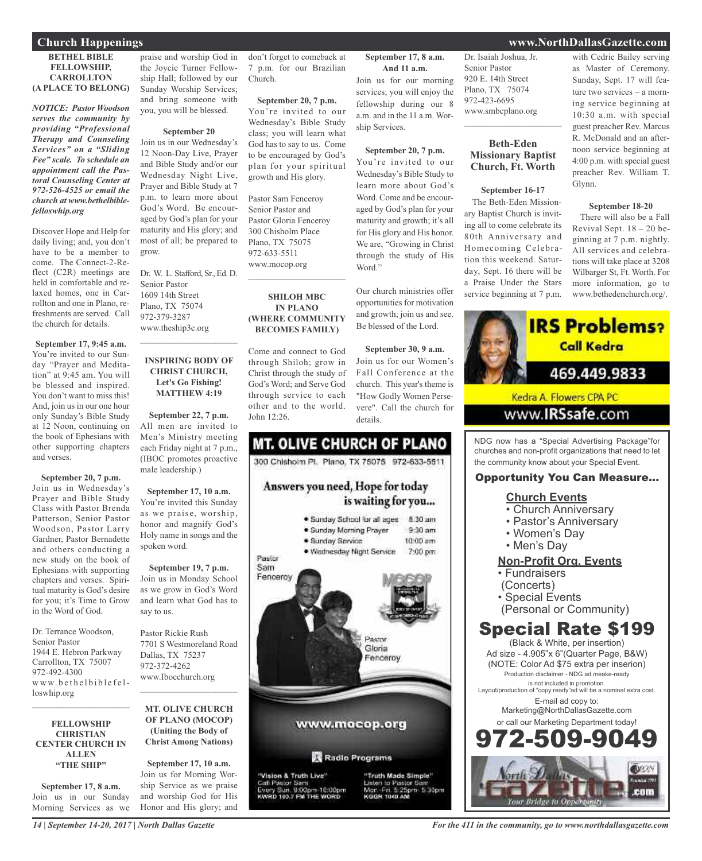## **Church Happenings www.NorthDallasGazette.com**

#### **BETHEL BIBLE FELLOWSHIP, CARROLLTON (A PLACE TO BELONG)**

*NOTICE: Pastor Woodson serves the community by providing "Professional Therapy and Counseling Services" on a "Sliding Fee" scale. To schedule an appointment call the Pastoral Counseling Center at 972-526-4525 or email the church at www.bethelbiblefelloswhip.org*

Discover Hope and Help for daily living; and, you don't have to be a member to come. The Connect-2-Reflect (C2R) meetings are held in comfortable and relaxed homes, one in Carrollton and one in Plano, refreshments are served. Call the church for details.

**September 17, 9:45 a.m.** You're invited to our Sunday "Prayer and Meditation" at 9:45 am. You will be blessed and inspired. You don't want to miss this! And, join us in our one hour only Sunday's Bible Study at 12 Noon, continuing on the book of Ephesians with other supporting chapters and verses.

**September 20, 7 p.m.**

Join us in Wednesday's Prayer and Bible Study Class with Pastor Brenda Patterson, Senior Pastor Woodson, Pastor Larry Gardner, Pastor Bernadette and others conducting a new study on the book of Ephesians with supporting chapters and verses. Spiritual maturity is God's desire for you; it's Time to Grow in the Word of God.

Dr. Terrance Woodson, Senior Pastor 1944 E. Hebron Parkway Carrollton, TX 75007 972-492-4300 www.bethelbiblefelloswhip.org

#### **FELLOWSHIP CHRISTIAN CENTER CHURCH IN ALLEN "THE SHIP"**

 $\mathcal{L}_\text{max}$  , which is a set of the set of the set of the set of the set of the set of the set of the set of the set of the set of the set of the set of the set of the set of the set of the set of the set of the set of

**September 17, 8 a.m.** Join us in our Sunday Morning Services as we

*14 | September 14-20, 2017 | North Dallas Gazette*

praise and worship God in the Joycie Turner Fellowship Hall; followed by our Sunday Worship Services; and bring someone with you, you will be blessed.

#### **September 20**

Join us in our Wednesday's 12 Noon-Day Live, Prayer and Bible Study and/or our Wednesday Night Live, Prayer and Bible Study at 7 p.m. to learn more about God's Word. Be encouraged by God's plan for your maturity and His glory; and most of all; be prepared to grow.

Dr. W. L. Stafford, Sr., Ed. D. Senior Pastor 1609 14th Street Plano, TX 75074 972-379-3287 www.theship3c.org

## **INSPIRING BODY OF CHRIST CHURCH, Let's Go Fishing! MATTHEW 4:19**

 $\overline{\phantom{a}}$  , and the set of the set of the set of the set of the set of the set of the set of the set of the set of the set of the set of the set of the set of the set of the set of the set of the set of the set of the s

**September 22, 7 p.m.** All men are invited to Men's Ministry meeting each Friday night at 7 p.m., (IBOC promotes proactive male leadership.)

**September 17, 10 a.m.** You're invited this Sunday as we praise, worship, honor and magnify God's Holy name in songs and the spoken word.

**September 19, 7 p.m.** Join us in Monday School as we grow in God's Word and learn what God has to say to us.

Pastor Rickie Rush 7701 S Westmoreland Road Dallas, TX 75237 972-372-4262 www.Ibocchurch.org

#### **MT. OLIVE CHURCH OF PLANO (MOCOP) (Uniting the Body of Christ Among Nations)**

 $\overline{\phantom{a}}$  , and the set of the set of the set of the set of the set of the set of the set of the set of the set of the set of the set of the set of the set of the set of the set of the set of the set of the set of the s

**September 17, 10 a.m.** Join us for Morning Worship Service as we praise and worship God for His Honor and His glory; and don't forget to comeback at 7 p.m. for our Brazilian Church.

**September 20, 7 p.m.** You're invited to our Wednesday's Bible Study class; you will learn what God has to say to us. Come to be encouraged by God's plan for your spiritual growth and His glory.

Pastor Sam Fenceroy Senior Pastor and Pastor Gloria Fenceroy 300 Chisholm Place Plano, TX 75075 972-633-5511 www.mocop.org

#### **SHILOH MBC IN PLANO (WHERE COMMUNITY BECOMES FAMILY)**

 $\overline{\phantom{a}}$  , and the set of the set of the set of the set of the set of the set of the set of the set of the set of the set of the set of the set of the set of the set of the set of the set of the set of the set of the s

Come and connect to God through Shiloh; grow in Christ through the study of God's Word; and Serve God through service to each other and to the world. John 12:26.

## **MT. OLIVE CHURCH OF PLANO** 300 Chishoim Pl. Plano, TX 75075 972-633-5511 Answers you need, Hope for today is waiting for you... · Sunday School for all ages 8:30 am · Sunday Morning Prayer  $9-30$  am · Sunday Service  $10:00$  am · Wednesday Night Service 7:00 pm Pastor Sam Fenceroy Pastor Gloria Fenceroy www.mocop.org Radio Programs "Vision & Truth Live" "Truth Made Simple" Call Pastor Sam<br>Every Sun, 9:00pm-10:00pm<br>KWRD 193.7 FM THE WORD i to Pastor Si<br>Fri. 5:25pm 5:30pm KODN 1040 AN

**September 17, 8 a.m. And 11 a.m.** Join us for our morning

services; you will enjoy the fellowship during our 8 a.m. and in the 11 a.m. Worship Services.

#### **September 20, 7 p.m.**

You're invited to our Wednesday's Bible Study to learn more about God's Word. Come and be encouraged by God's plan for your maturity and growth; it's all for His glory and His honor. We are, "Growing in Christ through the study of His Word."

Our church ministries offer opportunities for motivation and growth; join us and see. Be blessed of the Lord.

**September 30, 9 a.m.** Join us for our Women's Fall Conference at the church. This year's theme is "How Godly Women Persevere". Call the church for details.

Dr. Isaiah Joshua, Jr. Senior Pastor 920 E. 14th Street Plano, TX 75074 972-423-6695 www.smbcplano.org

## **Beth-Eden Missionary Baptist Church, Ft. Worth**

 $\mathcal{L}_\text{max}$  , and the set of the set of the set of the set of the set of the set of the set of the set of the set of the set of the set of the set of the set of the set of the set of the set of the set of the set of the

#### **September 16-17**

The Beth-Eden Missionary Baptist Church is inviting all to come celebrate its 80th Anniversary and Homecoming Celebration this weekend. Saturday, Sept. 16 there will be a Praise Under the Stars service beginning at 7 p.m.

## with Cedric Bailey serving as Master of Ceremony. Sunday, Sept. 17 will feature two services – a morning service beginning at 10:30 a.m. with special guest preacher Rev. Marcus R. McDonald and an afternoon service beginning at 4:00 p.m. with special guest preacher Rev. William T. Glynn.

#### **September 18-20**

There will also be a Fall Revival Sept. 18 – 20 beginning at 7 p.m. nightly. All services and celebrations will take place at 3208 Wilbarger St, Ft. Worth. For more information, go to www.bethedenchurch.org/.



## Opportunity You Can Measure...

## **Church Events**

- Church Anniversary
- Pastor's Anniversary
- Women's Day
- Men's Day

## **Non-Profit Org. Events**

- Fundraisers
- (Concerts)
- Special Events
- (Personal or Community)

## Special Rate \$199

(Black & White, per insertion) Ad size - 4.905"x 6"(Quarter Page, B&W) (NOTE: Color Ad \$75 extra per inserion) Production disclaimer - NDG ad meake-ready is not included in promotion. Layout/production of "copy ready"ad will be a nominal extra cost. E-mail ad copy to: Marketing@NorthDallasGazette.com or call our Marketing Department today! 2.509.90

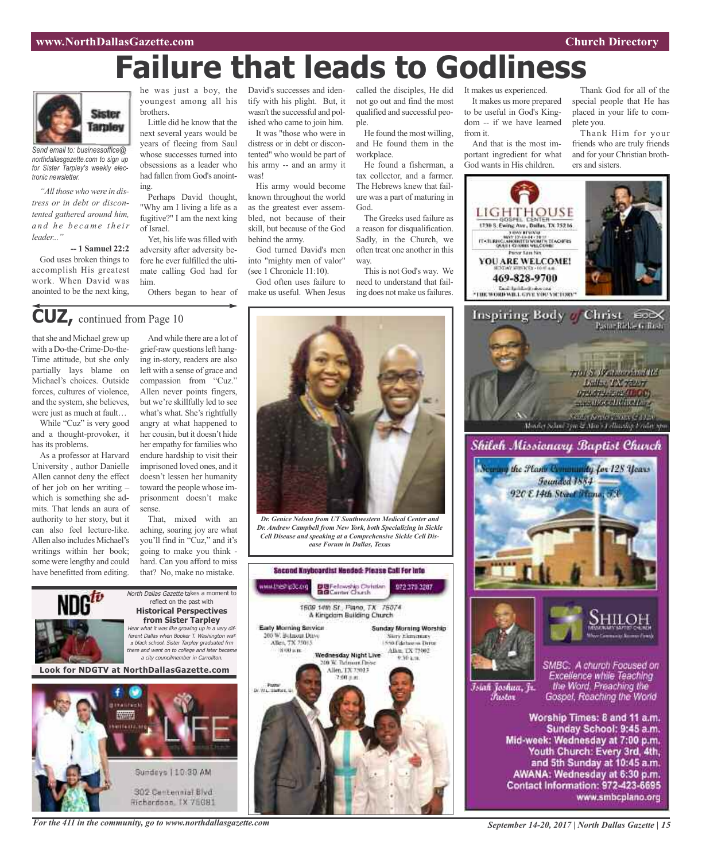# **Failure that leads to Godliness**



*Send email to: businessoffice@ northdallasgazette.com to sign up for Sister Tarpley's weekly electronic newsletter.*

*"All thosewhowere in distress or in debt or discontented gathered around him, a n d h e b e c a m e t h e ir leader..."*

**-- 1 Samuel 22:2** God uses broken things to accomplish His greatest work. When David was anointed to be the next king,

that she and Michael grew up with a Do-the-Crime-Do-the-Time attitude, but she only partially lays blame on Michael's choices. Outside forces, cultures of violence, and the system, she believes, were just as much at fault… While "Cuz" is very good and a thought-provoker, it

has its problems.

As a professor at Harvard University , author Danielle Allen cannot deny the effect of her job on her writing – which is something she admits. That lends an aura of authority to her story, but it can also feel lecture-like. Allen also includes Michael's writings within her book; some were lengthy and could have benefitted from editing.

**CUZ,** continued from Page <sup>10</sup>

youngest among all his brothers.

Little did he know that the next several years would be years of fleeing from Saul whose successes turned into obsessions as a leader who had fallen from God's anointing.

Perhaps David thought, "Why am I living a life as a fugitive?" I am the next king of Israel.

Yet, his life was filled with adversity after adversity before he ever fulfilled the ultimate calling God had for him.

Others began to hear of

And while there are a lot of grief-raw questions left hanging in-story, readers are also left with a sense of grace and compassion from "Cuz." Allen never points fingers, but we're skillfully led to see what's what. She's rightfully angry at what happened to her cousin, but it doesn't hide her empathy for families who endure hardship to visit their imprisoned loved ones, and it doesn't lessen her humanity toward the people whose imprisonment doesn't make

North Dallas Gazette takes a moment to reflect on the past with **Historical Perspectives from Sister Tarpley** what it was like growing up in a very different Dallas when Booker T. Washington was <sup>a</sup> black school. Sister Tarpley graduated frm there and went on to college and later became <sup>a</sup> city councilmember in Carrollton.

That, mixed with an aching, soaring joy are what you'll find in "Cuz," and it's going to make you think hard. Can you afford to miss that? No, make no mistake.

#### he was just a boy, the David's successes and identify with his plight. But, it wasn't the successful and polished who came to join him.

It was "those who were in distress or in debt or discontented" who would be part of his army -- and an army it was!

His army would become known throughout the world as the greatest ever assembled, not because of their skill, but because of the God behind the army.

God turned David's men into "mighty men of valor" (see 1 Chronicle 11:10).

God often uses failure to make us useful. When Jesus called the disciples, He did not go out and find the most qualified and successful people.

He found the most willing, and He found them in the workplace.

He found a fisherman, a tax collector, and a farmer. The Hebrews knew that failure was a part of maturing in God.

The Greeks used failure as a reason for disqualification. Sadly, in the Church, we often treat one another in this way.

This is not God's way. We need to understand that failing does not make us failures.

It makes us experienced. It makes us more prepared to be useful in God's Kingdom -- if we have learned from it.

And that is the most important ingredient for what God wants in His children.

Thank God for all of the special people that He has placed in your life to complete you.

Thank Him for your friends who are truly friends and for your Christian brothers and sisters.







Fustor

SMBC: A church Focused on Excellence while Teaching the Word. Preaching the Īsiah Joshua, Jr. Gospel, Reaching the World

> Worship Times: 8 and 11 a.m. Sunday School: 9:45 a.m. Mid-week: Wednesday at 7:00 p.m. Youth Church: Every 3rd, 4th, and 5th Sunday at 10:45 a.m. AWANA: Wednesday at 6:30 p.m. Contact Information: 972-423-6695 www.smbcplano.org



*Dr. Genice Nelson from UT Southwestern Medical Center and Dr. Andrew Campbell from New York, both Specializing in Sickle Cell Disease and speaking at a Comprehensive Sickle Cell Disease Forum in Dallas, Texas*





**Look for NDGTV at NorthDallasGazette.com**

sense.

*For the 411 in the community, go to www.northdallasgazette.com*

*September 14-20, 2017 | North Dallas Gazette | 15*